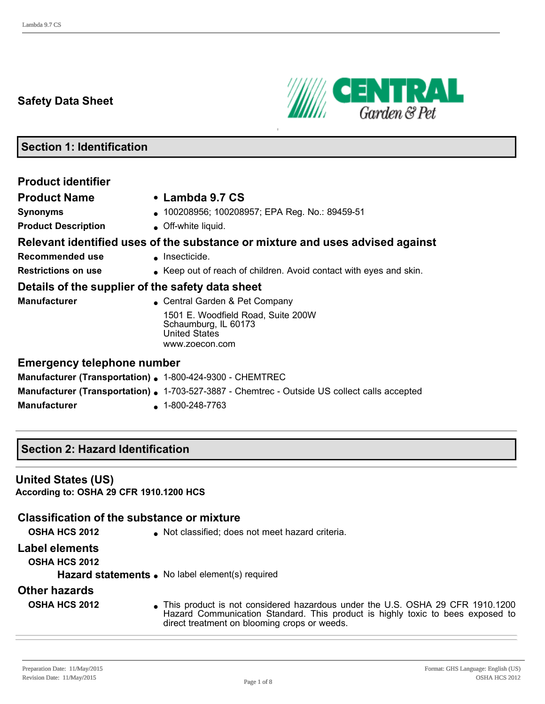## **Safety Data Sheet**



# **Section 1: Identification**

| <b>Product identifier</b>                                 |                                                                                                      |
|-----------------------------------------------------------|------------------------------------------------------------------------------------------------------|
| <b>Product Name</b>                                       | • Lambda 9.7 CS                                                                                      |
| <b>Synonyms</b>                                           | 100208956; 100208957; EPA Reg. No.: 89459-51                                                         |
| <b>Product Description</b>                                | • Off-white liquid.                                                                                  |
|                                                           | Relevant identified uses of the substance or mixture and uses advised against                        |
| Recommended use                                           | • Insecticide.                                                                                       |
| <b>Restrictions on use</b>                                | • Keep out of reach of children. Avoid contact with eyes and skin.                                   |
| Details of the supplier of the safety data sheet          |                                                                                                      |
| <b>Manufacturer</b>                                       | • Central Garden & Pet Company                                                                       |
|                                                           | 1501 E. Woodfield Road, Suite 200W<br>Schaumburg, IL 60173<br><b>United States</b><br>www.zoecon.com |
| <b>Emergency telephone number</b>                         |                                                                                                      |
| Manufacturer (Transportation) . 1-800-424-9300 - CHEMTREC |                                                                                                      |
|                                                           | <b>Manufacturer (Transportation) .</b> 1-703-527-3887 - Chemtrec - Outside US collect calls accepted |

**Manufacturer** 1-800-248-7763

## **Section 2: Hazard Identification**

## **United States (US)**

**According to: OSHA 29 CFR 1910.1200 HCS**

## **Classification of the substance or mixture**

**OSHA HCS 2012 IDED** Not classified; does not meet hazard criteria.

#### **Label elements**

**OSHA HCS 2012**

Hazard statements . No label element(s) required

## **Other hazards**

**OSHA HCS 2012** • This product is not considered hazardous under the U.S. OSHA 29 CFR 1910.1200 Hazard Communication Standard. This product is highly toxic to bees exposed to direct treatment on blooming crops or weeds.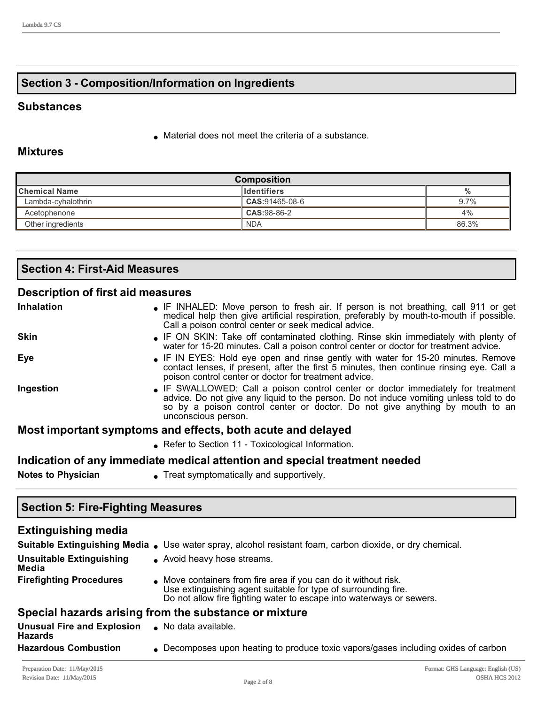## **Section 3 Composition/Information on Ingredients**

## **Substances**

 $\bullet$  Material does not meet the criteria of a substance.

## **Mixtures**

| <b>Composition</b>                                |                |         |  |
|---------------------------------------------------|----------------|---------|--|
| <b>Chemical Name</b><br><b>I</b> Identifiers<br>% |                |         |  |
| Lambda-cyhalothrin                                | CAS:91465-08-6 | $9.7\%$ |  |
| Acetophenone                                      | CAS:98-86-2    | 4%      |  |
| Other ingredients                                 | <b>NDA</b>     | 86.3%   |  |

| <b>Section 4: First-Aid Measures</b> |  |
|--------------------------------------|--|
|                                      |  |

## **Description of first aid measures**

| <b>Inhalation</b> | • IF INHALED: Move person to fresh air. If person is not breathing, call 911 or get<br>medical help then give artificial respiration, preferably by mouth-to-mouth if possible.<br>Call a poison control center or seek medical advice.                                           |
|-------------------|-----------------------------------------------------------------------------------------------------------------------------------------------------------------------------------------------------------------------------------------------------------------------------------|
| <b>Skin</b>       | • IF ON SKIN: Take off contaminated clothing. Rinse skin immediately with plenty of<br>water for 15-20 minutes. Call a poison control center or doctor for treatment advice.                                                                                                      |
| <b>Eye</b>        | • IF IN EYES: Hold eye open and rinse gently with water for 15-20 minutes. Remove<br>contact lenses, if present, after the first 5 minutes, then continue rinsing eye. Call a<br>poison control center or doctor for treatment advice.                                            |
| Ingestion         | • IF SWALLOWED: Call a poison control center or doctor immediately for treatment<br>advice. Do not give any liquid to the person. Do not induce vomiting unless told to do<br>so by a poison control center or doctor. Do not give anything by mouth to an<br>unconscious person. |
|                   | Most important symptoms and effects, both acute and delayed                                                                                                                                                                                                                       |
|                   | • Refer to Section 11 - Toxicological Information.                                                                                                                                                                                                                                |
|                   | Indication of any immediate medical attention and special treatment needed                                                                                                                                                                                                        |

**Notes to Physician e** Treat symptomatically and supportively.

| <b>Section 5: Fire-Fighting Measures</b>              |                                                                                                                                                                                                           |  |  |  |
|-------------------------------------------------------|-----------------------------------------------------------------------------------------------------------------------------------------------------------------------------------------------------------|--|--|--|
| <b>Extinguishing media</b>                            |                                                                                                                                                                                                           |  |  |  |
|                                                       | Suitable Extinguishing Media • Use water spray, alcohol resistant foam, carbon dioxide, or dry chemical.                                                                                                  |  |  |  |
| <b>Unsuitable Extinguishing</b><br>Media              | • Avoid heavy hose streams.                                                                                                                                                                               |  |  |  |
| <b>Firefighting Procedures</b>                        | • Move containers from fire area if you can do it without risk.<br>Use extinguishing agent suitable for type of surrounding fire.<br>Do not allow fire fighting water to escape into waterways or sewers. |  |  |  |
| Special hazards arising from the substance or mixture |                                                                                                                                                                                                           |  |  |  |
| <b>Unusual Fire and Explosion</b><br><b>Hazards</b>   | No data available.                                                                                                                                                                                        |  |  |  |
| <b>Hazardous Combustion</b>                           | • Decomposes upon heating to produce toxic vapors/gases including oxides of carbon                                                                                                                        |  |  |  |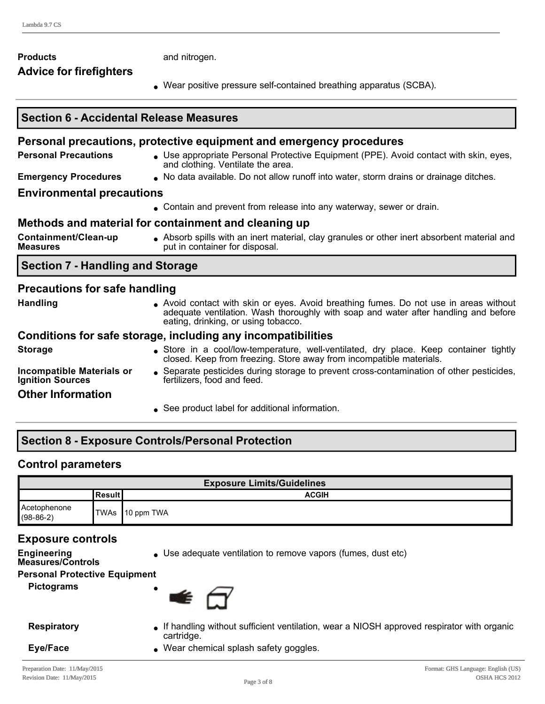#### **Products** and nitrogen. **Advice for firefighters**

• Wear positive pressure self-contained breathing apparatus (SCBA).

#### **Section 6 Accidental Release Measures Personal precautions, protective equipment and emergency procedures Personal Precautions** . Use appropriate Personal Protective Equipment (PPE). Avoid contact with skin, eyes, and clothing. Ventilate the area. **Emergency Procedures** . No data available. Do not allow runoff into water, storm drains or drainage ditches. **Environmental precautions .** Contain and prevent from release into any waterway, sewer or drain. **Methods and material for containment and cleaning up Containment/Clean-up Measures** <sup>l</sup> Absorb spills with an inert material, clay granules or other inert absorbent material and put in container for disposal. **Section 7 Handling and Storage Precautions for safe handling Handling example 20 and Contact with skin or eyes. Avoid breathing fumes. Do not use in areas without** adequate ventilation. Wash thoroughly with soap and water after handling and before eating, drinking, or using tobacco. **Conditions for safe storage, including any incompatibilities Storage store in a cool/low-temperature, well-ventilated, dry place. Keep container tightly** closed. Keep from freezing. Store away from incompatible materials. **Incompatible Materials or Ignition Sources** <sup>l</sup> Separate pesticides during storage to prevent crosscontamination of other pesticides, fertilizers, food and feed. **Other Information See product label for additional information.**

## **Section 8 Exposure Controls/Personal Protection**

## **Control parameters**

| <b>Exposure Limits/Guidelines</b> |           |                 |  |
|-----------------------------------|-----------|-----------------|--|
|                                   | lResult l | <b>ACGIH</b>    |  |
| Acetophenone<br>$(98-86-2)$       |           | TWAs 10 ppm TWA |  |

## **Exposure controls**

- **Engineering Measures/Controls**
- Use adequate ventilation to remove vapors (fumes, dust etc)

## **Personal Protective Equipment**

**Pictograms** 



- **Respiratory If handling without sufficient ventilation, wear a NIOSH approved respirator with organic** cartridge.
- **Eye/Face lace lace lace lace lace lace lace lace lace lace lace lace lace lace lace lace lace lace lace lace lace lace lace lace lace lace lace lace lace lace**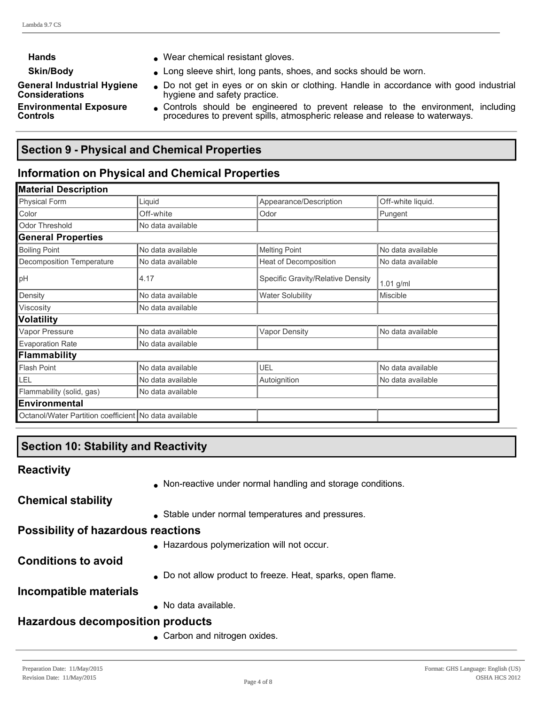**Considerations**

**Controls**

**General Industrial Hygiene** 

**Environmental Exposure** 

- Hands **and School** Wear chemical resistant gloves.
- **Skin/Body lacks Long sleeve shirt, long pants, shoes, and socks should be worn.**

Do not get in eyes or on skin or clothing. Handle in accordance with good industrial hygiene and safety practice.

• Controls should be engineered to prevent release to the environment, including procedures to prevent spills, atmospheric release and release to waterways.

## **Section 9 Physical and Chemical Properties**

# **Information on Physical and Chemical Properties**

| <b>Material Description</b>                           |                   |                                   |                   |
|-------------------------------------------------------|-------------------|-----------------------------------|-------------------|
| <b>Physical Form</b>                                  | Liquid            | Appearance/Description            | Off-white liquid. |
| Color                                                 | Off-white         | Odor                              | Pungent           |
| <b>Odor Threshold</b>                                 | No data available |                                   |                   |
| <b>General Properties</b>                             |                   |                                   |                   |
| <b>Boiling Point</b>                                  | No data available | <b>Melting Point</b>              | No data available |
| Decomposition Temperature                             | No data available | Heat of Decomposition             | No data available |
| pH                                                    | 4.17              | Specific Gravity/Relative Density | 1.01 g/ml         |
| Density                                               | No data available | <b>Water Solubility</b>           | <b>Miscible</b>   |
| Viscosity                                             | No data available |                                   |                   |
| Volatility                                            |                   |                                   |                   |
| Vapor Pressure                                        | No data available | <b>Vapor Density</b>              | No data available |
| <b>Evaporation Rate</b>                               | No data available |                                   |                   |
| Flammability                                          |                   |                                   |                   |
| <b>Flash Point</b>                                    | No data available | UEL                               | No data available |
| LEL                                                   | No data available | Autoignition                      | No data available |
| Flammability (solid, gas)                             | No data available |                                   |                   |
| <b>Environmental</b>                                  |                   |                                   |                   |
| Octanol/Water Partition coefficient No data available |                   |                                   |                   |

# **Section 10: Stability and Reactivity**

**Reactivity**

• Non-reactive under normal handling and storage conditions.

**Chemical stability**

<sup>l</sup> Stable under normal temperatures and pressures.

## **Possibility of hazardous reactions**

**.** Hazardous polymerization will not occur.

**Conditions to avoid**

• Do not allow product to freeze. Heat, sparks, open flame.

## **Incompatible materials**

• No data available.

# **Hazardous decomposition products**

• Carbon and nitrogen oxides.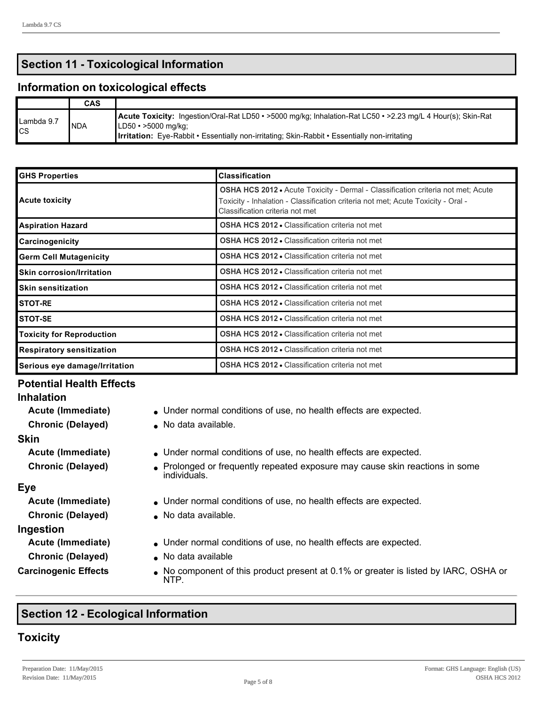## **Section 11 - Toxicological Information**

#### **Information on toxicological effects**

|                  | <b>CAS</b>  |                                                                                                                                                                                                                                                            |
|------------------|-------------|------------------------------------------------------------------------------------------------------------------------------------------------------------------------------------------------------------------------------------------------------------|
| Lambda 9.7<br>CS | <b>INDA</b> | Acute Toxicity: Ingestion/Oral-Rat LD50 • >5000 mg/kg; Inhalation-Rat LC50 • >2.23 mg/L 4 Hour(s); Skin-Rat<br>$ LD50 \cdot > 5000 \text{ mg/kg} $<br><b>Irritation:</b> Eye-Rabbit • Essentially non-irritating; Skin-Rabbit • Essentially non-irritating |

| <b>GHS Properties</b>                                                                      | <b>Classification</b>                                                                                                                                                                                          |
|--------------------------------------------------------------------------------------------|----------------------------------------------------------------------------------------------------------------------------------------------------------------------------------------------------------------|
| <b>Acute toxicity</b>                                                                      | <b>OSHA HCS 2012 •</b> Acute Toxicity - Dermal - Classification criteria not met; Acute<br>Toxicity - Inhalation - Classification criteria not met; Acute Toxicity - Oral -<br>Classification criteria not met |
| <b>Aspiration Hazard</b>                                                                   | <b>OSHA HCS 2012 • Classification criteria not met</b>                                                                                                                                                         |
| Carcinogenicity                                                                            | <b>OSHA HCS 2012 • Classification criteria not met</b>                                                                                                                                                         |
| <b>OSHA HCS 2012 • Classification criteria not met</b><br><b>Germ Cell Mutagenicity</b>    |                                                                                                                                                                                                                |
| <b>OSHA HCS 2012 • Classification criteria not met</b><br><b>Skin corrosion/Irritation</b> |                                                                                                                                                                                                                |
| <b>Skin sensitization</b>                                                                  | <b>OSHA HCS 2012 • Classification criteria not met</b>                                                                                                                                                         |
| <b>OSHA HCS 2012 • Classification criteria not met</b><br><b>STOT-RE</b>                   |                                                                                                                                                                                                                |
| <b>OSHA HCS 2012 • Classification criteria not met</b><br><b>STOT-SE</b>                   |                                                                                                                                                                                                                |
| <b>Toxicity for Reproduction</b>                                                           | OSHA HCS 2012 . Classification criteria not met                                                                                                                                                                |
| <b>Respiratory sensitization</b>                                                           | <b>OSHA HCS 2012 • Classification criteria not met</b>                                                                                                                                                         |
| Serious eye damage/Irritation                                                              | <b>OSHA HCS 2012 • Classification criteria not met</b>                                                                                                                                                         |

## **Potential Health Effects**

#### **Inhalation**

**Acute (Immediate)** Under normal conditions of use, no health effects are expected.

**Chronic (Delayed)** . No data available.

#### **Skin**

**Acute (Immediate)** Under normal conditions of use, no health effects are expected.

**Chronic (Delayed)** Prolonged or frequently repeated exposure may cause skin reactions in some individuals.

#### **Eye**

#### **Ingestion**

- 
- **Chronic (Delayed)** . No data available

- Acute (Immediate) **Inder normal conditions of use, no health effects are expected.**
- **Chronic (Delayed)** No data available.
- Acute (Immediate) **Inder normal conditions of use, no health effects are expected.** 
	-
- **Carcinogenic Effects** <br> **No component of this product present at 0.1% or greater is listed by IARC, OSHA or** NTP.

## **Section 12 Ecological Information**

## **Toxicity**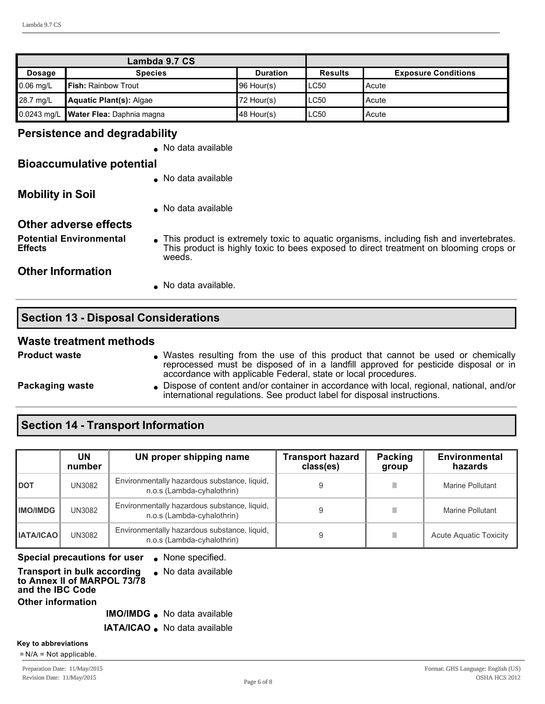| Lambda 9.7 CS |                                         |                 |                |                            |
|---------------|-----------------------------------------|-----------------|----------------|----------------------------|
| Dosage        | <b>Species</b>                          | <b>Duration</b> | <b>Results</b> | <b>Exposure Conditions</b> |
| $0.06$ mg/L   | <b>IFish: Rainbow Trout</b>             | 96 Hour(s)      | LC50           | IAcute                     |
| 28.7 mg/L     | Aquatic Plant(s): Algae                 | 72 Hour(s)      | LC50           | IAcute                     |
|               | 0.0243 mg/L   Water Flea: Daphnia magna | 48 Hour(s)      | LC50           | l Acute                    |

#### **Persistence and degradability**

. No data available

#### **Bioaccumulative potential**

• No data available

**Mobility in Soil**

• No data available

#### **Other adverse effects**

**Potential Environmental Effects**

• This product is extremely toxic to aquatic organisms, including fish and invertebrates. This product is highly toxic to bees exposed to direct treatment on blooming crops or weeds.

#### **Other Information**

• No data available.

## **Section 13 - Disposal Considerations**

#### **Waste treatment methods**

- **Product waste 1988 1998 1999 1999 Wastes resulting from the use of this product that cannot be used or chemically** reprocessed must be disposed of in a landfill approved for pesticide disposal or in accordance with applicable Federal, state or local procedures.
- 
- **Packaging waste lightle Dispose of content and/or container in accordance with local, regional, national, and/or container in accordance with local, regional, national, and/or** international regulations. See product label for disposal instructions.

## **Section 14 - Transport Information**

|                  | UN<br>number | UN proper shipping name                                                    | <b>Transport hazard</b><br>class(es) | Packing<br>group | <b>Environmental</b><br>hazards |
|------------------|--------------|----------------------------------------------------------------------------|--------------------------------------|------------------|---------------------------------|
| <b>DOT</b>       | UN3082       | Environmentally hazardous substance, liquid,<br>n.o.s (Lambda-cyhalothrin) |                                      | Ш                | Marine Pollutant                |
| <b>IMO/IMDG</b>  | UN3082       | Environmentally hazardous substance, liquid,<br>n.o.s (Lambda-cyhalothrin) |                                      | Ш                | Marine Pollutant                |
| <b>IATA/ICAO</b> | UN3082       | Environmentally hazardous substance, liquid,<br>n.o.s (Lambda-cyhalothrin) |                                      | Ш                | <b>Acute Aquatic Toxicity</b>   |

## **Special precautions for user** . None specified.

#### **Transport in bulk according to Annex II of MARPOL 73/78 and the IBC Code**  $\bullet$  No data available **Other information**

**IMO/IMDG** . No data available

**IATA/ICAO** . No data available

#### **Key to abbreviations**

= N/A = Not applicable.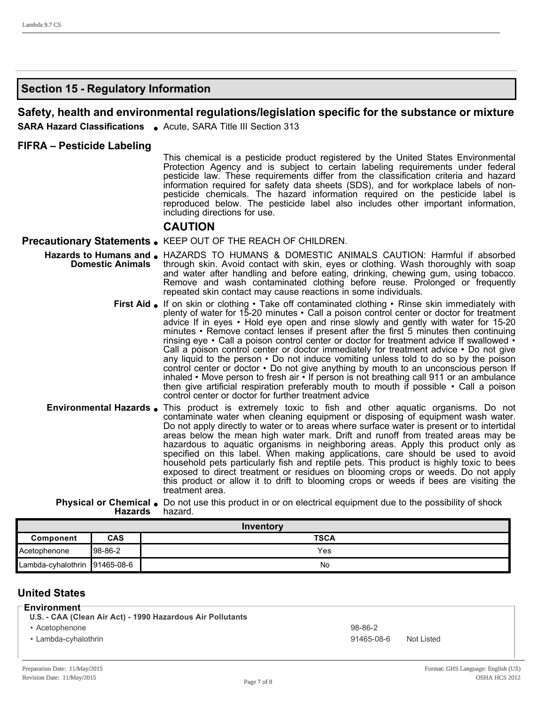## **Section 15 Regulatory Information**

#### **Safety, health and environmental regulations/legislation specific for the substance or mixture**

**SARA Hazard Classifications** . Acute, SARA Title III Section 313

#### **FIFRA – Pesticide Labeling**

This chemical is a pesticide product registered by the United States Environmental Protection Agency and is subject to certain labeling requirements under federal pesticide law. These requirements differ from the classification criteria and hazard information required for safety data sheets (SDS), and for workplace labels of nonpesticide chemicals. The hazard information required on the pesticide label is reproduced below. The pesticide label also includes other important information, including directions for use.

#### **CAUTION**

#### **Precautionary Statements.** KEEP OUT OF THE REACH OF CHILDREN.

- Hazards to Humans and <br> **Hazards to Humans and** <br> **Address To HUMANS & DOMESTIC ANIMALS CAUTION: Harmful if absorbed Domestic Animals** through skin. Avoid contact with skin, eyes or clothing. Wash thoroughly with soap and water after handling and before eating, drinking, chewing gum, using tobacco. Remove and wash contaminated clothing before reuse. Prolonged or frequently repeated skin contact may cause reactions in some individuals.
	- **First Aid** If on skin or clothing Take off contaminated clothing Rinse skin immediately with plenty of water for 15-20 minutes • Call a poison control center or doctor for treatment advice If in eyes • Hold eye open and rinse slowly and gently with water for 15-20 minutes • Remove contact lenses if present after the first 5 minutes then continuing rinsing eye • Call a poison control center or doctor for treatment advice If swallowed • Call a poison control center or doctor immediately for treatment advice  $\cdot$  Do not give any liquid to the person • Do not induce vomiting unless told to do so by the poison control center or doctor • Do not give anything by mouth to an unconscious person If inhaled • Move person to fresh air • If person is not breathing call 911 or an ambulance then give artificial respiration preferably mouth to mouth if possible  $\cdot$  Call a poison control center or doctor for further treatment advice
- **Environmental Hazards** This product is extremely toxic to fish and other aquatic organisms. Do not contaminate water when cleaning equipment or disposing of equipment wash water. Do not apply directly to water or to areas where surface water is present or to intertidal areas below the mean high water mark. Drift and runoff from treated areas may be hazardous to aquatic organisms in neighboring areas. Apply this product only as specified on this label. When making applications, care should be used to avoid household pets particularly fish and reptile pets. This product is highly toxic to bees exposed to direct treatment or residues on blooming crops or weeds. Do not apply this product or allow it to drift to blooming crops or weeds if bees are visiting the treatment area.

#### **Physical or Chemical .** Do not use this product in or on electrical equipment due to the possibility of shock **Hazards** hazard.

| Inventory                       |          |     |
|---------------------------------|----------|-----|
| <b>TSCA</b><br>CAS<br>Component |          |     |
| ∎Acetophenone                   | Ⅰ98-86-2 | Yes |
| Lambda-cyhalothrin 191465-08-6  |          | No  |

#### **United States**

#### **Environment**

- **U.S. CAA (Clean Air Act) 1990 Hazardous Air Pollutants**
- Acetophenone 98-86-2
- 

• Lambda-cyhalothrin 191465-08-6 Not Listed